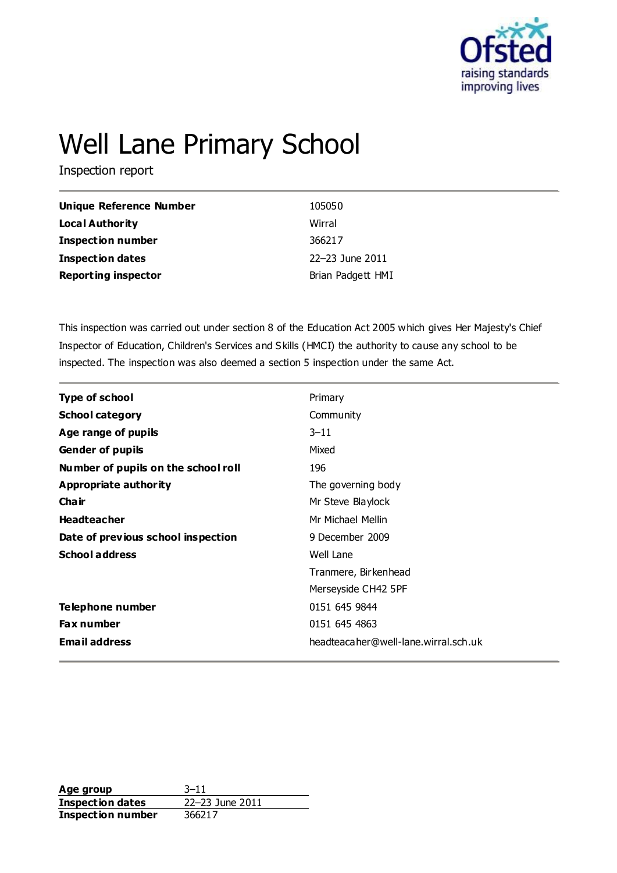

# Well Lane Primary School

Inspection report

| Unique Reference Number    | 105050            |
|----------------------------|-------------------|
| Local Authority            | Wirral            |
| <b>Inspection number</b>   | 366217            |
| <b>Inspection dates</b>    | 22-23 June 2011   |
| <b>Reporting inspector</b> | Brian Padgett HMI |

This inspection was carried out under section 8 of the Education Act 2005 which gives Her Majesty's Chief Inspector of Education, Children's Services and Skills (HMCI) the authority to cause any school to be inspected. The inspection was also deemed a section 5 inspection under the same Act.

| Type of school                      | Primary                              |
|-------------------------------------|--------------------------------------|
| <b>School category</b>              | Community                            |
| Age range of pupils                 | $3 - 11$                             |
| <b>Gender of pupils</b>             | Mixed                                |
| Number of pupils on the school roll | 196                                  |
| <b>Appropriate authority</b>        | The governing body                   |
| Cha ir                              | Mr Steve Blaylock                    |
| <b>Headteacher</b>                  | Mr Michael Mellin                    |
| Date of previous school inspection  | 9 December 2009                      |
| <b>School address</b>               | Well Lane                            |
|                                     | Tranmere, Birkenhead                 |
|                                     | Merseyside CH42 5PF                  |
| Telephone number                    | 0151 645 9844                        |
| Fax number                          | 0151 645 4863                        |
| <b>Email address</b>                | headteacaher@well-lane.wirral.sch.uk |

Age group 3–11 **Inspection dates** 22–23 June 2011 **Inspection number** 366217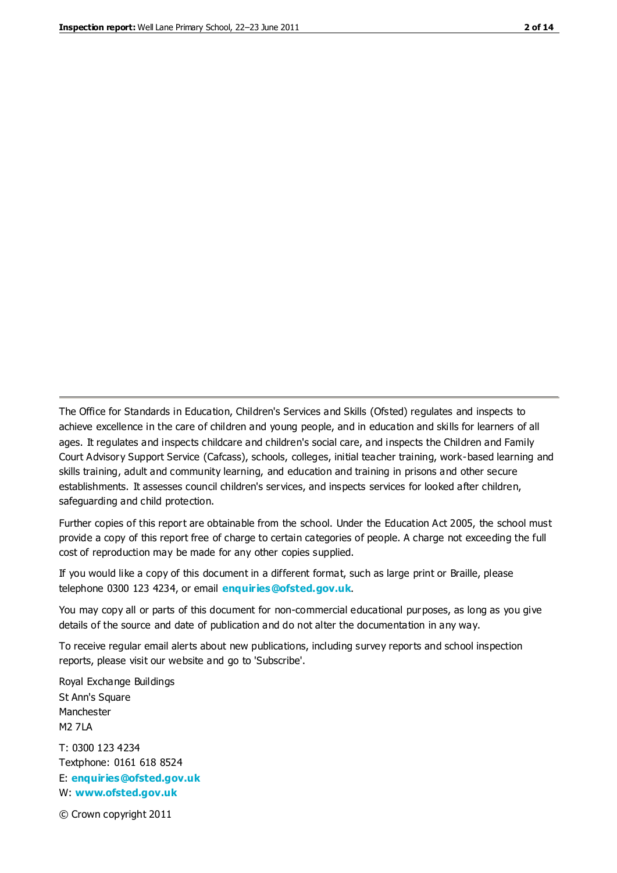The Office for Standards in Education, Children's Services and Skills (Ofsted) regulates and inspects to achieve excellence in the care of children and young people, and in education and skills for learners of all ages. It regulates and inspects childcare and children's social care, and inspects the Children and Family Court Advisory Support Service (Cafcass), schools, colleges, initial teacher training, work-based learning and skills training, adult and community learning, and education and training in prisons and other secure establishments. It assesses council children's services, and inspects services for looked after children, safeguarding and child protection.

Further copies of this report are obtainable from the school. Under the Education Act 2005, the school must provide a copy of this report free of charge to certain categories of people. A charge not exceeding the full cost of reproduction may be made for any other copies supplied.

If you would like a copy of this document in a different format, such as large print or Braille, please telephone 0300 123 4234, or email **[enquiries@ofsted.gov.uk](mailto:enquiries@ofsted.gov.uk)**.

You may copy all or parts of this document for non-commercial educational purposes, as long as you give details of the source and date of publication and do not alter the documentation in any way.

To receive regular email alerts about new publications, including survey reports and school inspection reports, please visit our website and go to 'Subscribe'.

Royal Exchange Buildings St Ann's Square Manchester M2 7LA T: 0300 123 4234 Textphone: 0161 618 8524 E: **[enquiries@ofsted.gov.uk](mailto:enquiries@ofsted.gov.uk)**

W: **[www.ofsted.gov.uk](http://www.ofsted.gov.uk/)**

© Crown copyright 2011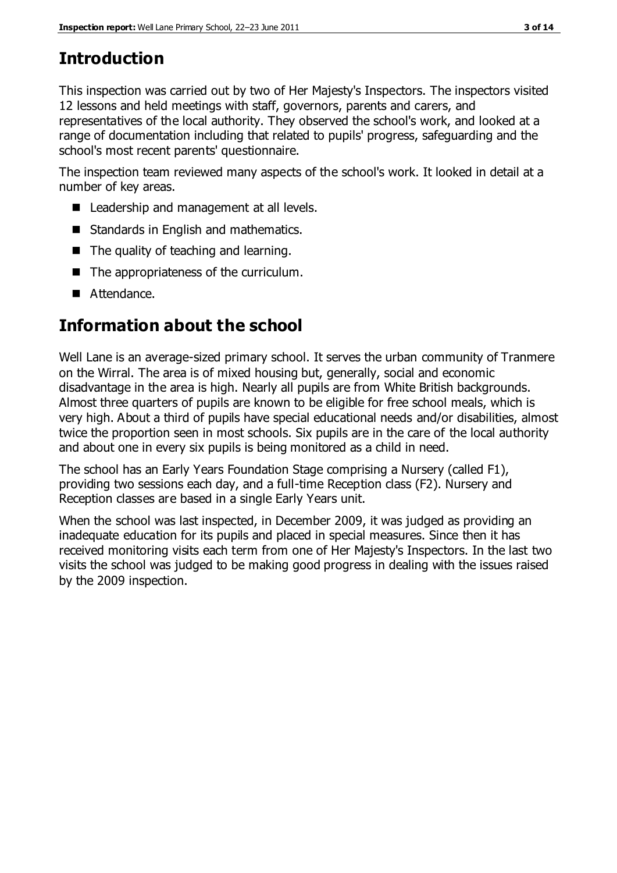# **Introduction**

This inspection was carried out by two of Her Majesty's Inspectors. The inspectors visited 12 lessons and held meetings with staff, governors, parents and carers, and representatives of the local authority. They observed the school's work, and looked at a range of documentation including that related to pupils' progress, safeguarding and the school's most recent parents' questionnaire.

The inspection team reviewed many aspects of the school's work. It looked in detail at a number of key areas.

- Leadership and management at all levels.
- Standards in English and mathematics.
- The quality of teaching and learning.
- The appropriateness of the curriculum.
- Attendance.

# **Information about the school**

Well Lane is an average-sized primary school. It serves the urban community of Tranmere on the Wirral. The area is of mixed housing but, generally, social and economic disadvantage in the area is high. Nearly all pupils are from White British backgrounds. Almost three quarters of pupils are known to be eligible for free school meals, which is very high. About a third of pupils have special educational needs and/or disabilities, almost twice the proportion seen in most schools. Six pupils are in the care of the local authority and about one in every six pupils is being monitored as a child in need.

The school has an Early Years Foundation Stage comprising a Nursery (called F1), providing two sessions each day, and a full-time Reception class (F2). Nursery and Reception classes are based in a single Early Years unit.

When the school was last inspected, in December 2009, it was judged as providing an inadequate education for its pupils and placed in special measures. Since then it has received monitoring visits each term from one of Her Majesty's Inspectors. In the last two visits the school was judged to be making good progress in dealing with the issues raised by the 2009 inspection.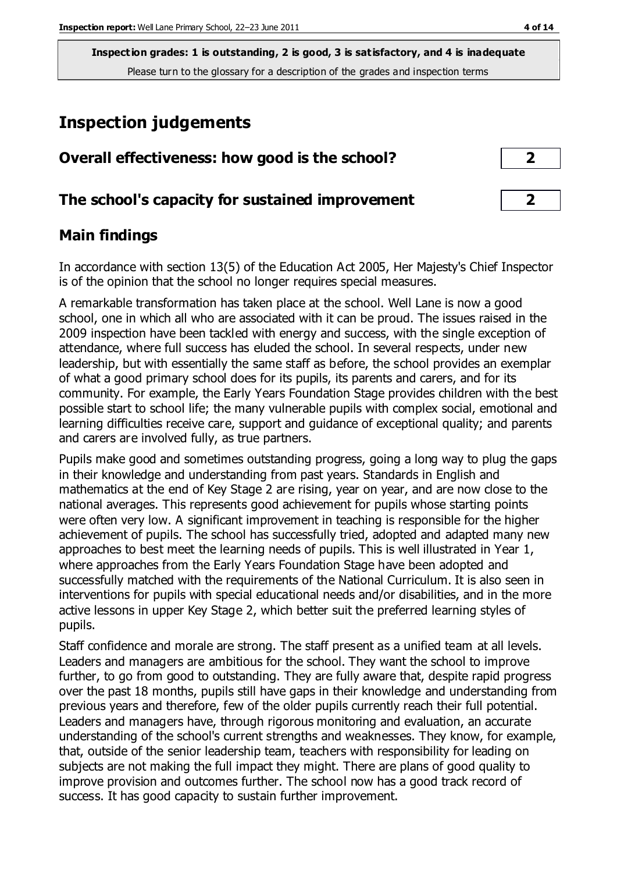# **Inspection judgements**

| Overall effectiveness: how good is the school?  | $\mathbf{2}$            |
|-------------------------------------------------|-------------------------|
| The school's capacity for sustained improvement | $\overline{\mathbf{2}}$ |

## **Main findings**

In accordance with section 13(5) of the Education Act 2005, Her Majesty's Chief Inspector is of the opinion that the school no longer requires special measures.

A remarkable transformation has taken place at the school. Well Lane is now a good school, one in which all who are associated with it can be proud. The issues raised in the 2009 inspection have been tackled with energy and success, with the single exception of attendance, where full success has eluded the school. In several respects, under new leadership, but with essentially the same staff as before, the school provides an exemplar of what a good primary school does for its pupils, its parents and carers, and for its community. For example, the Early Years Foundation Stage provides children with the best possible start to school life; the many vulnerable pupils with complex social, emotional and learning difficulties receive care, support and guidance of exceptional quality; and parents and carers are involved fully, as true partners.

Pupils make good and sometimes outstanding progress, going a long way to plug the gaps in their knowledge and understanding from past years. Standards in English and mathematics at the end of Key Stage 2 are rising, year on year, and are now close to the national averages. This represents good achievement for pupils whose starting points were often very low. A significant improvement in teaching is responsible for the higher achievement of pupils. The school has successfully tried, adopted and adapted many new approaches to best meet the learning needs of pupils. This is well illustrated in Year 1, where approaches from the Early Years Foundation Stage have been adopted and successfully matched with the requirements of the National Curriculum. It is also seen in interventions for pupils with special educational needs and/or disabilities, and in the more active lessons in upper Key Stage 2, which better suit the preferred learning styles of pupils.

Staff confidence and morale are strong. The staff present as a unified team at all levels. Leaders and managers are ambitious for the school. They want the school to improve further, to go from good to outstanding. They are fully aware that, despite rapid progress over the past 18 months, pupils still have gaps in their knowledge and understanding from previous years and therefore, few of the older pupils currently reach their full potential. Leaders and managers have, through rigorous monitoring and evaluation, an accurate understanding of the school's current strengths and weaknesses. They know, for example, that, outside of the senior leadership team, teachers with responsibility for leading on subjects are not making the full impact they might. There are plans of good quality to improve provision and outcomes further. The school now has a good track record of success. It has good capacity to sustain further improvement.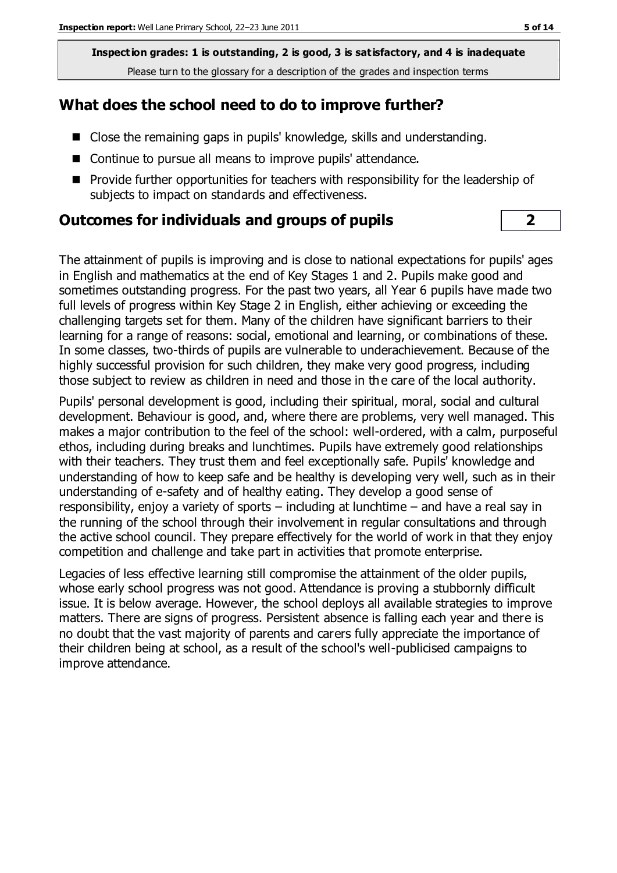## **What does the school need to do to improve further?**

- Close the remaining gaps in pupils' knowledge, skills and understanding.
- Continue to pursue all means to improve pupils' attendance.
- **Provide further opportunities for teachers with responsibility for the leadership of** subjects to impact on standards and effectiveness.

## **Outcomes for individuals and groups of pupils 2**

The attainment of pupils is improving and is close to national expectations for pupils' ages in English and mathematics at the end of Key Stages 1 and 2. Pupils make good and sometimes outstanding progress. For the past two years, all Year 6 pupils have made two full levels of progress within Key Stage 2 in English, either achieving or exceeding the challenging targets set for them. Many of the children have significant barriers to their learning for a range of reasons: social, emotional and learning, or combinations of these. In some classes, two-thirds of pupils are vulnerable to underachievement. Because of the highly successful provision for such children, they make very good progress, including those subject to review as children in need and those in the care of the local authority.

Pupils' personal development is good, including their spiritual, moral, social and cultural development. Behaviour is good, and, where there are problems, very well managed. This makes a major contribution to the feel of the school: well-ordered, with a calm, purposeful ethos, including during breaks and lunchtimes. Pupils have extremely good relationships with their teachers. They trust them and feel exceptionally safe. Pupils' knowledge and understanding of how to keep safe and be healthy is developing very well, such as in their understanding of e-safety and of healthy eating. They develop a good sense of responsibility, enjoy a variety of sports – including at lunchtime – and have a real say in the running of the school through their involvement in regular consultations and through the active school council. They prepare effectively for the world of work in that they enjoy competition and challenge and take part in activities that promote enterprise.

Legacies of less effective learning still compromise the attainment of the older pupils, whose early school progress was not good. Attendance is proving a stubbornly difficult issue. It is below average. However, the school deploys all available strategies to improve matters. There are signs of progress. Persistent absence is falling each year and there is no doubt that the vast majority of parents and carers fully appreciate the importance of their children being at school, as a result of the school's well-publicised campaigns to improve attendance.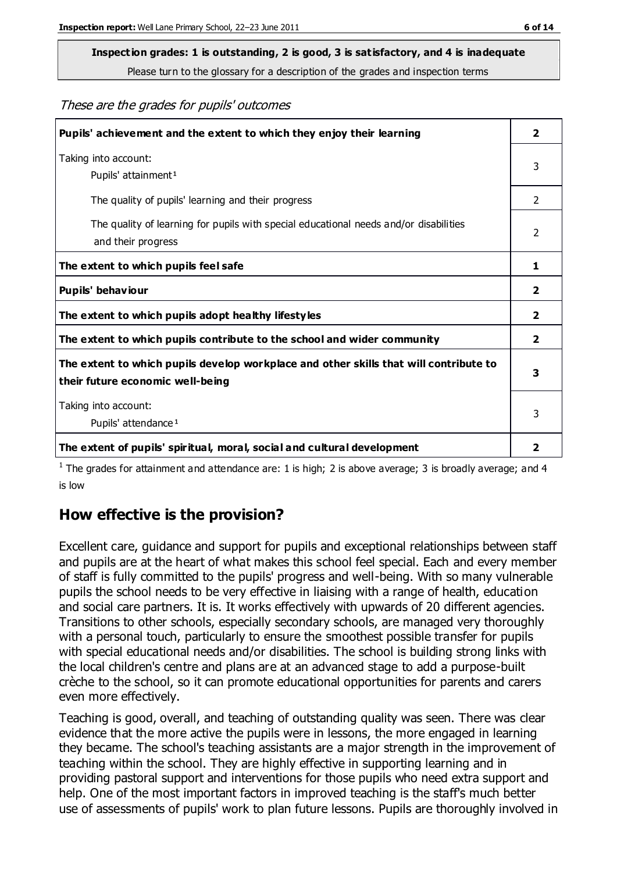# **Inspection grades: 1 is outstanding, 2 is good, 3 is satisfactory, and 4 is inadequate**

Please turn to the glossary for a description of the grades and inspection terms

#### These are the grades for pupils' outcomes

| Pupils' achievement and the extent to which they enjoy their learning                                                     |                |
|---------------------------------------------------------------------------------------------------------------------------|----------------|
| Taking into account:<br>Pupils' attainment <sup>1</sup>                                                                   |                |
| The quality of pupils' learning and their progress                                                                        | $\mathcal{P}$  |
| The quality of learning for pupils with special educational needs and/or disabilities<br>and their progress               | 2              |
| The extent to which pupils feel safe                                                                                      | 1              |
| Pupils' behaviour                                                                                                         | 2              |
| The extent to which pupils adopt healthy lifestyles                                                                       | 2              |
| The extent to which pupils contribute to the school and wider community                                                   | $\overline{2}$ |
| The extent to which pupils develop workplace and other skills that will contribute to<br>their future economic well-being | 3              |
| Taking into account:<br>Pupils' attendance <sup>1</sup>                                                                   | 3              |
| The extent of pupils' spiritual, moral, social and cultural development                                                   | 2              |

<sup>1</sup> The grades for attainment and attendance are: 1 is high; 2 is above average; 3 is broadly average; and 4 is low

## **How effective is the provision?**

Excellent care, guidance and support for pupils and exceptional relationships between staff and pupils are at the heart of what makes this school feel special. Each and every member of staff is fully committed to the pupils' progress and well-being. With so many vulnerable pupils the school needs to be very effective in liaising with a range of health, education and social care partners. It is. It works effectively with upwards of 20 different agencies. Transitions to other schools, especially secondary schools, are managed very thoroughly with a personal touch, particularly to ensure the smoothest possible transfer for pupils with special educational needs and/or disabilities. The school is building strong links with the local children's centre and plans are at an advanced stage to add a purpose-built crèche to the school, so it can promote educational opportunities for parents and carers even more effectively.

Teaching is good, overall, and teaching of outstanding quality was seen. There was clear evidence that the more active the pupils were in lessons, the more engaged in learning they became. The school's teaching assistants are a major strength in the improvement of teaching within the school. They are highly effective in supporting learning and in providing pastoral support and interventions for those pupils who need extra support and help. One of the most important factors in improved teaching is the staff's much better use of assessments of pupils' work to plan future lessons. Pupils are thoroughly involved in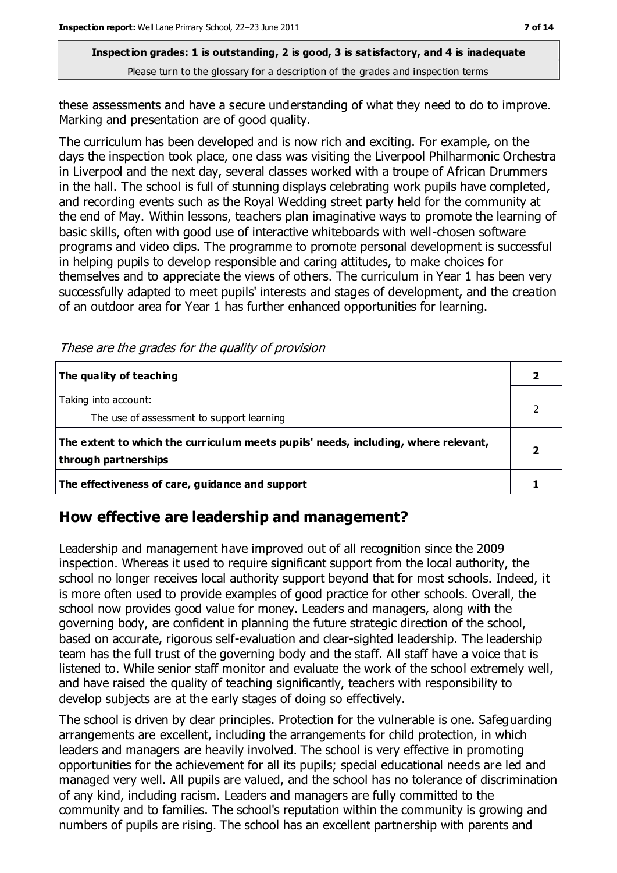these assessments and have a secure understanding of what they need to do to improve. Marking and presentation are of good quality.

The curriculum has been developed and is now rich and exciting. For example, on the days the inspection took place, one class was visiting the Liverpool Philharmonic Orchestra in Liverpool and the next day, several classes worked with a troupe of African Drummers in the hall. The school is full of stunning displays celebrating work pupils have completed, and recording events such as the Royal Wedding street party held for the community at the end of May. Within lessons, teachers plan imaginative ways to promote the learning of basic skills, often with good use of interactive whiteboards with well-chosen software programs and video clips. The programme to promote personal development is successful in helping pupils to develop responsible and caring attitudes, to make choices for themselves and to appreciate the views of others. The curriculum in Year 1 has been very successfully adapted to meet pupils' interests and stages of development, and the creation of an outdoor area for Year 1 has further enhanced opportunities for learning.

| These are the grades for the quality of provision |  |  |  |
|---------------------------------------------------|--|--|--|
|---------------------------------------------------|--|--|--|

| The quality of teaching                                                                                    |  |
|------------------------------------------------------------------------------------------------------------|--|
| Taking into account:<br>The use of assessment to support learning                                          |  |
| The extent to which the curriculum meets pupils' needs, including, where relevant,<br>through partnerships |  |
| The effectiveness of care, guidance and support                                                            |  |

## **How effective are leadership and management?**

Leadership and management have improved out of all recognition since the 2009 inspection. Whereas it used to require significant support from the local authority, the school no longer receives local authority support beyond that for most schools. Indeed, it is more often used to provide examples of good practice for other schools. Overall, the school now provides good value for money. Leaders and managers, along with the governing body, are confident in planning the future strategic direction of the school, based on accurate, rigorous self-evaluation and clear-sighted leadership. The leadership team has the full trust of the governing body and the staff. All staff have a voice that is listened to. While senior staff monitor and evaluate the work of the school extremely well, and have raised the quality of teaching significantly, teachers with responsibility to develop subjects are at the early stages of doing so effectively.

The school is driven by clear principles. Protection for the vulnerable is one. Safeguarding arrangements are excellent, including the arrangements for child protection, in which leaders and managers are heavily involved. The school is very effective in promoting opportunities for the achievement for all its pupils; special educational needs are led and managed very well. All pupils are valued, and the school has no tolerance of discrimination of any kind, including racism. Leaders and managers are fully committed to the community and to families. The school's reputation within the community is growing and numbers of pupils are rising. The school has an excellent partnership with parents and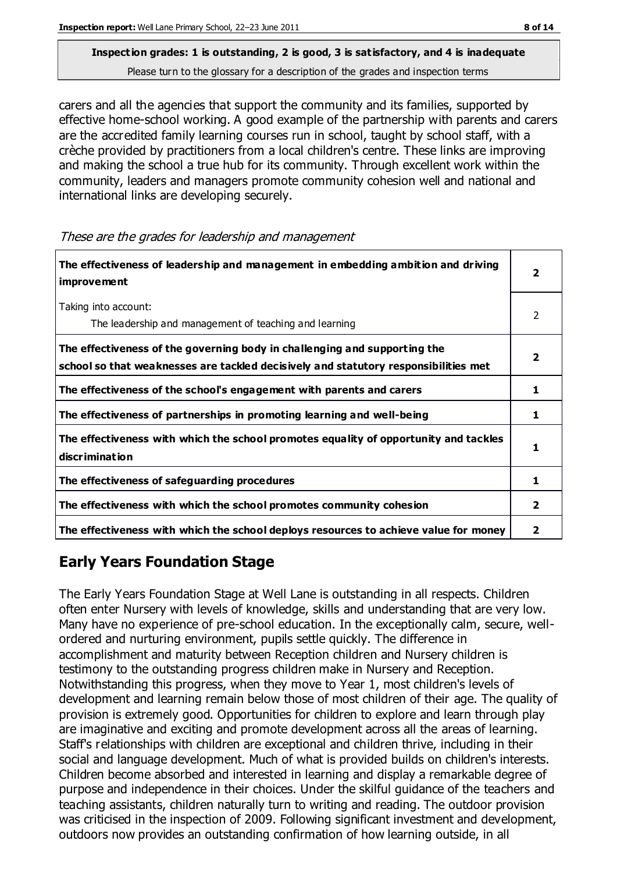carers and all the agencies that support the community and its families, supported by effective home-school working. A good example of the partnership with parents and carers are the accredited family learning courses run in school, taught by school staff, with a crèche provided by practitioners from a local children's centre. These links are improving and making the school a true hub for its community. Through excellent work within the community, leaders and managers promote community cohesion well and national and international links are developing securely.

These are the grades for leadership and management

| The effectiveness of leadership and management in embedding ambition and driving<br><b>improvement</b>                                                           |   |
|------------------------------------------------------------------------------------------------------------------------------------------------------------------|---|
| Taking into account:<br>The leadership and management of teaching and learning                                                                                   | 2 |
| The effectiveness of the governing body in challenging and supporting the<br>school so that weaknesses are tackled decisively and statutory responsibilities met | 2 |
| The effectiveness of the school's engagement with parents and carers                                                                                             | 1 |
| The effectiveness of partnerships in promoting learning and well-being                                                                                           | 1 |
| The effectiveness with which the school promotes equality of opportunity and tackles<br><b>discrimination</b>                                                    | 1 |
| The effectiveness of safeguarding procedures                                                                                                                     | 1 |
| The effectiveness with which the school promotes community cohesion                                                                                              |   |
| The effectiveness with which the school deploys resources to achieve value for money                                                                             |   |

## **Early Years Foundation Stage**

The Early Years Foundation Stage at Well Lane is outstanding in all respects. Children often enter Nursery with levels of knowledge, skills and understanding that are very low. Many have no experience of pre-school education. In the exceptionally calm, secure, wellordered and nurturing environment, pupils settle quickly. The difference in accomplishment and maturity between Reception children and Nursery children is testimony to the outstanding progress children make in Nursery and Reception. Notwithstanding this progress, when they move to Year 1, most children's levels of development and learning remain below those of most children of their age. The quality of provision is extremely good. Opportunities for children to explore and learn through play are imaginative and exciting and promote development across all the areas of learning. Staff's relationships with children are exceptional and children thrive, including in their social and language development. Much of what is provided builds on children's interests. Children become absorbed and interested in learning and display a remarkable degree of purpose and independence in their choices. Under the skilful guidance of the teachers and teaching assistants, children naturally turn to writing and reading. The outdoor provision was criticised in the inspection of 2009. Following significant investment and development, outdoors now provides an outstanding confirmation of how learning outside, in all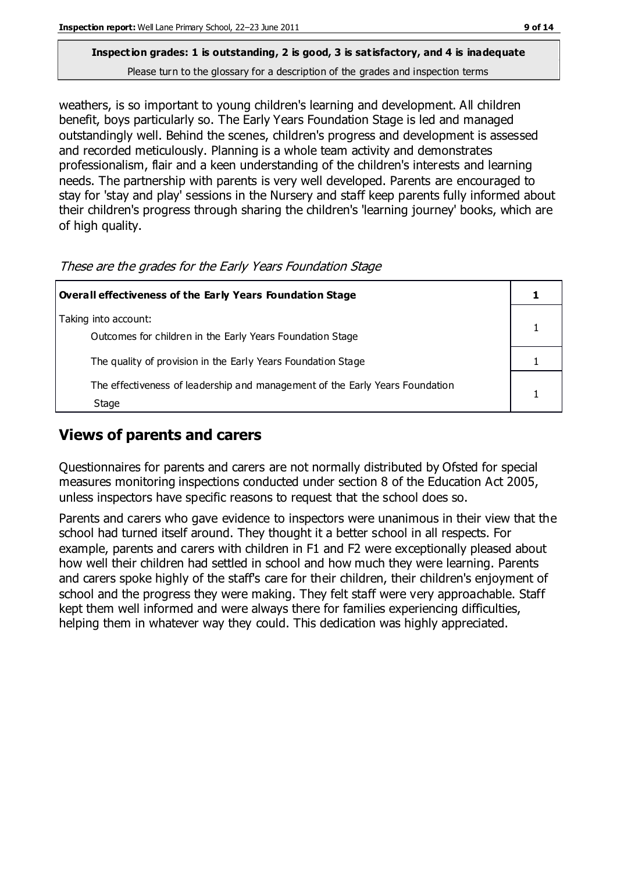weathers, is so important to young children's learning and development. All children benefit, boys particularly so. The Early Years Foundation Stage is led and managed outstandingly well. Behind the scenes, children's progress and development is assessed and recorded meticulously. Planning is a whole team activity and demonstrates professionalism, flair and a keen understanding of the children's interests and learning needs. The partnership with parents is very well developed. Parents are encouraged to stay for 'stay and play' sessions in the Nursery and staff keep parents fully informed about their children's progress through sharing the children's 'learning journey' books, which are

of high quality.

| Overall effectiveness of the Early Years Foundation Stage                    |  |
|------------------------------------------------------------------------------|--|
| Taking into account:                                                         |  |
| Outcomes for children in the Early Years Foundation Stage                    |  |
| The quality of provision in the Early Years Foundation Stage                 |  |
| The effectiveness of leadership and management of the Early Years Foundation |  |
| Stage                                                                        |  |

#### These are the grades for the Early Years Foundation Stage

## **Views of parents and carers**

Questionnaires for parents and carers are not normally distributed by Ofsted for special measures monitoring inspections conducted under section 8 of the Education Act 2005, unless inspectors have specific reasons to request that the school does so.

Parents and carers who gave evidence to inspectors were unanimous in their view that the school had turned itself around. They thought it a better school in all respects. For example, parents and carers with children in F1 and F2 were exceptionally pleased about how well their children had settled in school and how much they were learning. Parents and carers spoke highly of the staff's care for their children, their children's enjoyment of school and the progress they were making. They felt staff were very approachable. Staff kept them well informed and were always there for families experiencing difficulties, helping them in whatever way they could. This dedication was highly appreciated.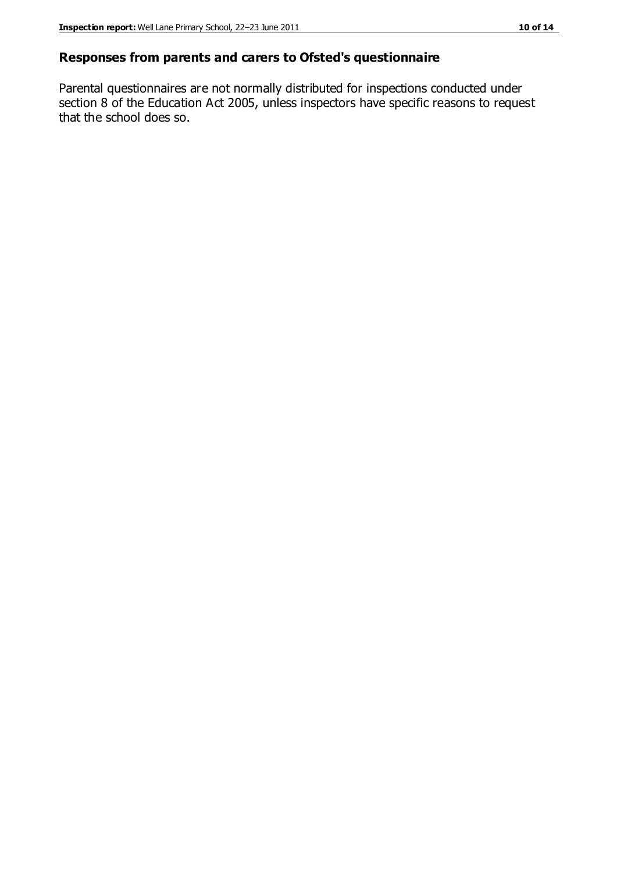#### **Responses from parents and carers to Ofsted's questionnaire**

Parental questionnaires are not normally distributed for inspections conducted under section 8 of the Education Act 2005, unless inspectors have specific reasons to request that the school does so.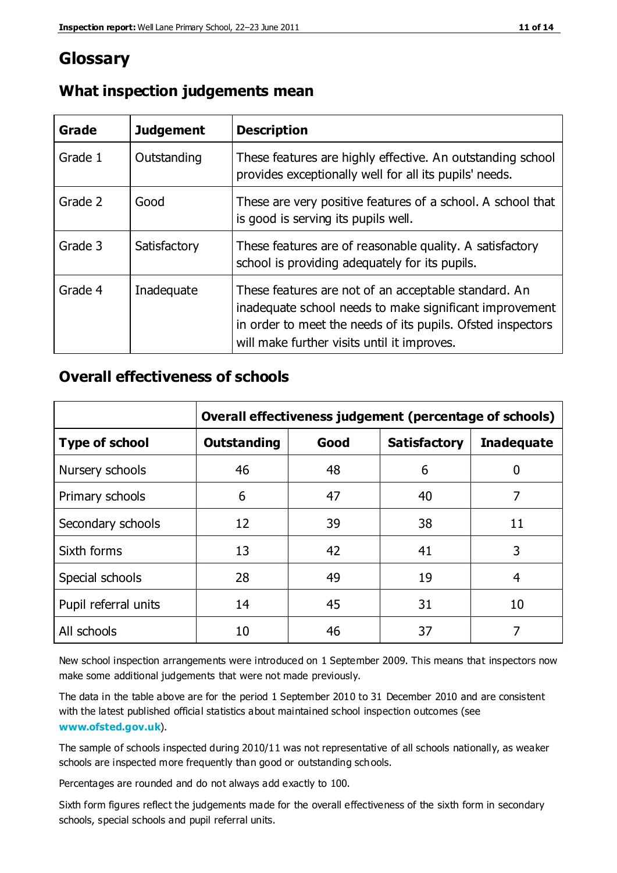## **Glossary**

| Grade   | <b>Judgement</b> | <b>Description</b>                                                                                                                                                                                                            |
|---------|------------------|-------------------------------------------------------------------------------------------------------------------------------------------------------------------------------------------------------------------------------|
| Grade 1 | Outstanding      | These features are highly effective. An outstanding school<br>provides exceptionally well for all its pupils' needs.                                                                                                          |
| Grade 2 | Good             | These are very positive features of a school. A school that<br>is good is serving its pupils well.                                                                                                                            |
| Grade 3 | Satisfactory     | These features are of reasonable quality. A satisfactory<br>school is providing adequately for its pupils.                                                                                                                    |
| Grade 4 | Inadequate       | These features are not of an acceptable standard. An<br>inadequate school needs to make significant improvement<br>in order to meet the needs of its pupils. Ofsted inspectors<br>will make further visits until it improves. |

## **What inspection judgements mean**

## **Overall effectiveness of schools**

|                       | Overall effectiveness judgement (percentage of schools) |      |                     |                   |
|-----------------------|---------------------------------------------------------|------|---------------------|-------------------|
| <b>Type of school</b> | Outstanding                                             | Good | <b>Satisfactory</b> | <b>Inadequate</b> |
| Nursery schools       | 46                                                      | 48   | 6                   | $\mathbf{0}$      |
| Primary schools       | 6                                                       | 47   | 40                  | 7                 |
| Secondary schools     | 12                                                      | 39   | 38                  | 11                |
| Sixth forms           | 13                                                      | 42   | 41                  | 3                 |
| Special schools       | 28                                                      | 49   | 19                  | 4                 |
| Pupil referral units  | 14                                                      | 45   | 31                  | 10                |
| All schools           | 10                                                      | 46   | 37                  |                   |

New school inspection arrangements were introduced on 1 September 2009. This means that inspectors now make some additional judgements that were not made previously.

The data in the table above are for the period 1 September 2010 to 31 December 2010 and are consistent with the latest published official statistics about maintained school inspection outcomes (see **[www.ofsted.gov.uk](http://www.ofsted.gov.uk/)**).

The sample of schools inspected during 2010/11 was not representative of all schools nationally, as weaker schools are inspected more frequently than good or outstanding schools.

Percentages are rounded and do not always add exactly to 100.

Sixth form figures reflect the judgements made for the overall effectiveness of the sixth form in secondary schools, special schools and pupil referral units.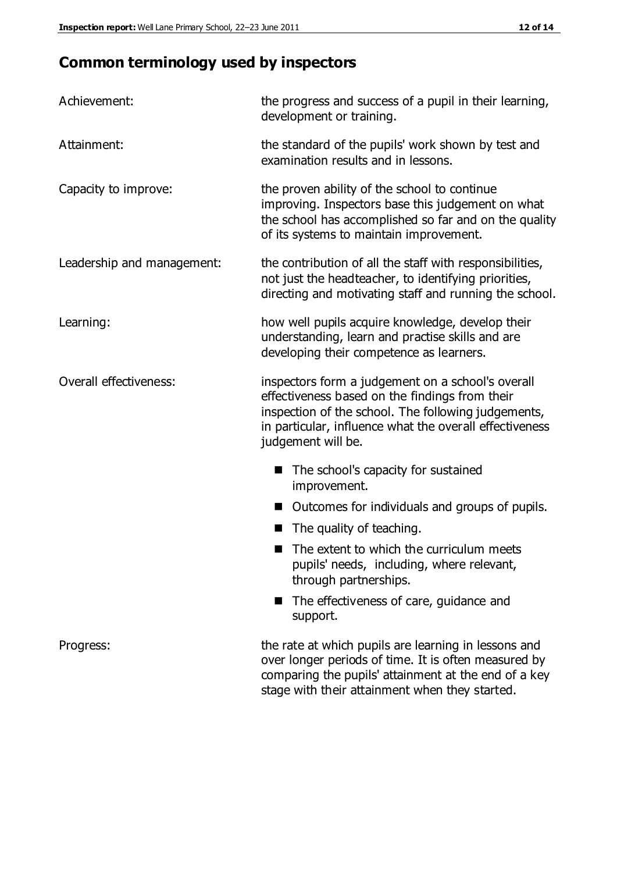## **Common terminology used by inspectors**

| Achievement:               | the progress and success of a pupil in their learning,<br>development or training.                                                                                                                                                          |  |  |
|----------------------------|---------------------------------------------------------------------------------------------------------------------------------------------------------------------------------------------------------------------------------------------|--|--|
| Attainment:                | the standard of the pupils' work shown by test and<br>examination results and in lessons.                                                                                                                                                   |  |  |
| Capacity to improve:       | the proven ability of the school to continue<br>improving. Inspectors base this judgement on what<br>the school has accomplished so far and on the quality<br>of its systems to maintain improvement.                                       |  |  |
| Leadership and management: | the contribution of all the staff with responsibilities,<br>not just the headteacher, to identifying priorities,<br>directing and motivating staff and running the school.                                                                  |  |  |
| Learning:                  | how well pupils acquire knowledge, develop their<br>understanding, learn and practise skills and are<br>developing their competence as learners.                                                                                            |  |  |
| Overall effectiveness:     | inspectors form a judgement on a school's overall<br>effectiveness based on the findings from their<br>inspection of the school. The following judgements,<br>in particular, influence what the overall effectiveness<br>judgement will be. |  |  |
|                            | The school's capacity for sustained<br>improvement.                                                                                                                                                                                         |  |  |
|                            | Outcomes for individuals and groups of pupils.                                                                                                                                                                                              |  |  |
|                            | The quality of teaching.                                                                                                                                                                                                                    |  |  |
|                            | The extent to which the curriculum meets<br>pupils' needs, including, where relevant,<br>through partnerships.                                                                                                                              |  |  |
|                            | The effectiveness of care, guidance and<br>support.                                                                                                                                                                                         |  |  |
| Progress:                  | the rate at which pupils are learning in lessons and<br>over longer periods of time. It is often measured by<br>comparing the pupils' attainment at the end of a key                                                                        |  |  |

stage with their attainment when they started.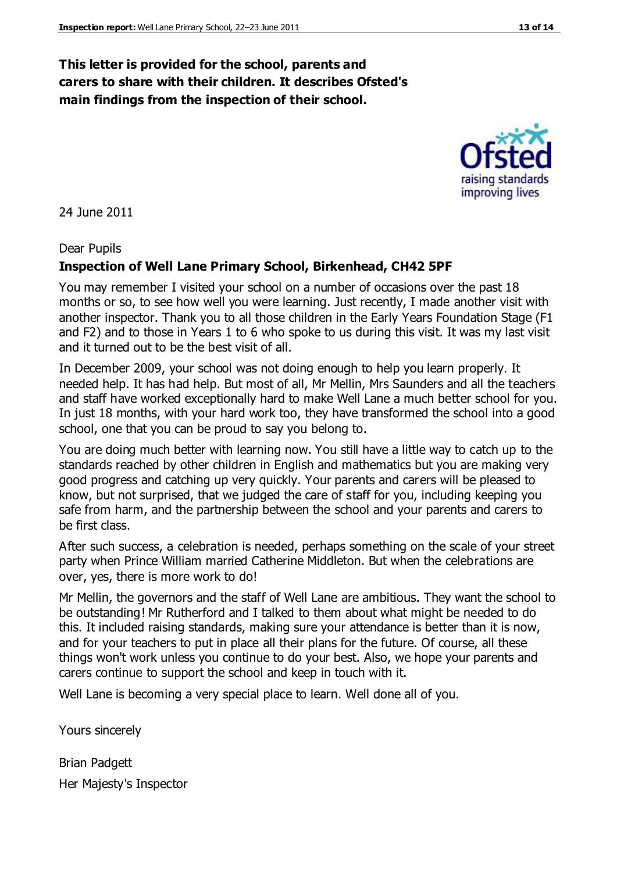## **This letter is provided for the school, parents and carers to share with their children. It describes Ofsted's main findings from the inspection of their school.**

24 June 2011

#### Dear Pupils

#### **Inspection of Well Lane Primary School, Birkenhead, CH42 5PF**

You may remember I visited your school on a number of occasions over the past 18 months or so, to see how well you were learning. Just recently, I made another visit with another inspector. Thank you to all those children in the Early Years Foundation Stage (F1 and F2) and to those in Years 1 to 6 who spoke to us during this visit. It was my last visit and it turned out to be the best visit of all.

In December 2009, your school was not doing enough to help you learn properly. It needed help. It has had help. But most of all, Mr Mellin, Mrs Saunders and all the teachers and staff have worked exceptionally hard to make Well Lane a much better school for you. In just 18 months, with your hard work too, they have transformed the school into a good school, one that you can be proud to say you belong to.

You are doing much better with learning now. You still have a little way to catch up to the standards reached by other children in English and mathematics but you are making very good progress and catching up very quickly. Your parents and carers will be pleased to know, but not surprised, that we judged the care of staff for you, including keeping you safe from harm, and the partnership between the school and your parents and carers to be first class.

After such success, a celebration is needed, perhaps something on the scale of your street party when Prince William married Catherine Middleton. But when the celebrations are over, yes, there is more work to do!

Mr Mellin, the governors and the staff of Well Lane are ambitious. They want the school to be outstanding! Mr Rutherford and I talked to them about what might be needed to do this. It included raising standards, making sure your attendance is better than it is now, and for your teachers to put in place all their plans for the future. Of course, all these things won't work unless you continue to do your best. Also, we hope your parents and carers continue to support the school and keep in touch with it.

Well Lane is becoming a very special place to learn. Well done all of you.

Yours sincerely

Brian Padgett Her Majesty's Inspector